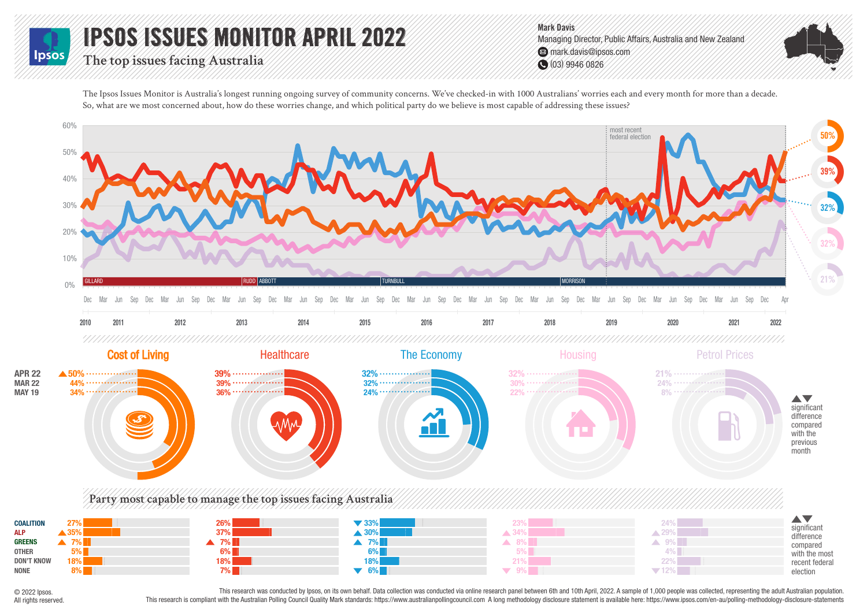## IPSOS ISSUES MONITOR APRIL 2022 lpso:

**The top issues facing Australia**

Mark Davis Managing Director, Public Affairs, Australia and New Zealand mark.davis@ipsos.com (03) 9946 0826

The Ipsos Issues Monitor is Australia's longest running ongoing survey of community concerns. We've checked-in with 1000 Australians' worries each and every month for more than a decade. So, what are we most concerned about, how do these worries change, and which political party do we believe is most capable of addressing these issues?



© 2022 Ipsos. All rights reserved.

This research was conducted by lpsos, on its own behalf. Data collection was conducted via online research panel between 6th and 10th April, 2022. A sample of 1,000 people was collected, representing the adult Australian p This research is compliant with the Australian Polling Council Quality Mark standards: https://www.australianpollingcouncil.com A long methodology disclosure statement is available here: https://www.jpsos.com/en-au/polling